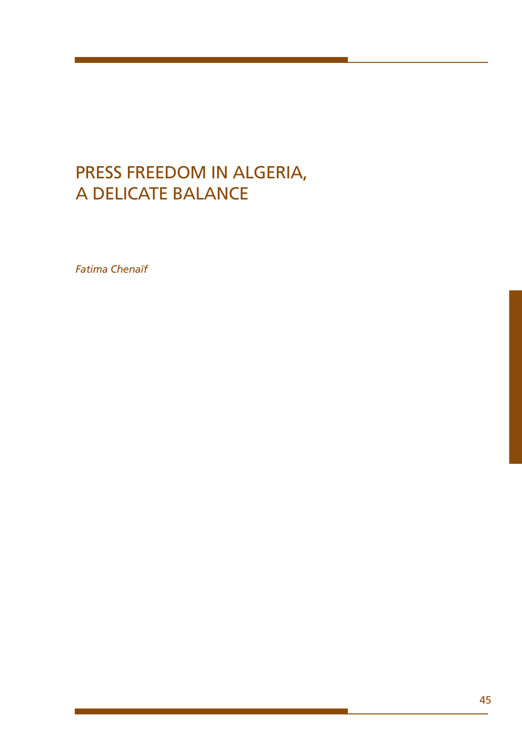# PRESS FREEDOM IN ALGERIA, a delicate balance

*Fatima Chenaïf*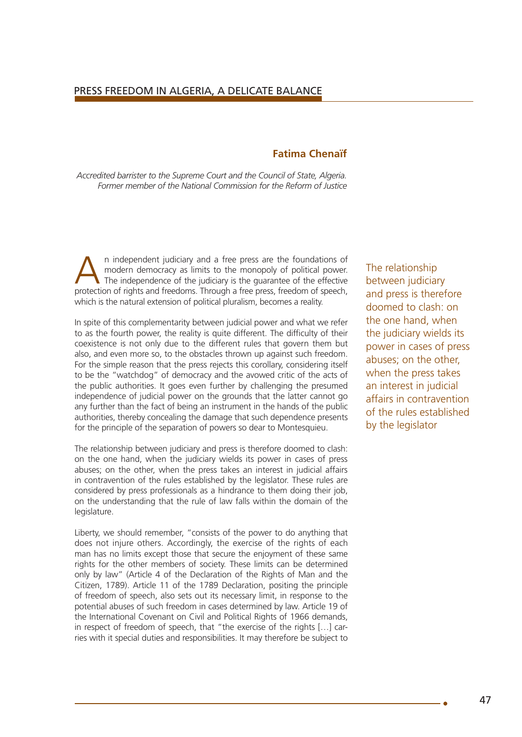## **Fatima Chenaïf**

*Accredited barrister to the Supreme Court and the Council of State, Algeria. Former member of the National Commission for the Reform of Justice*

An independent judiciary and a free press are the foundations of modern democracy as limits to the monopoly of political power.<br>The independence of the judiciary is the guarantee of the effective<br>protoction of rights and f modern democracy as limits to the monopoly of political power. protection of rights and freedoms. Through a free press, freedom of speech, which is the natural extension of political pluralism, becomes a reality.

In spite of this complementarity between judicial power and what we refer to as the fourth power, the reality is quite different. The difficulty of their coexistence is not only due to the different rules that govern them but also, and even more so, to the obstacles thrown up against such freedom. For the simple reason that the press rejects this corollary, considering itself to be the "watchdog" of democracy and the avowed critic of the acts of the public authorities. It goes even further by challenging the presumed independence of judicial power on the grounds that the latter cannot go any further than the fact of being an instrument in the hands of the public authorities, thereby concealing the damage that such dependence presents for the principle of the separation of powers so dear to Montesquieu.

The relationship between judiciary and press is therefore doomed to clash: on the one hand, when the judiciary wields its power in cases of press abuses; on the other, when the press takes an interest in judicial affairs in contravention of the rules established by the legislator. These rules are considered by press professionals as a hindrance to them doing their job, on the understanding that the rule of law falls within the domain of the legislature.

Liberty, we should remember, "consists of the power to do anything that does not injure others. Accordingly, the exercise of the rights of each man has no limits except those that secure the enjoyment of these same rights for the other members of society. These limits can be determined only by law" (Article 4 of the Declaration of the Rights of Man and the Citizen, 1789). Article 11 of the 1789 Declaration, positing the principle of freedom of speech, also sets out its necessary limit, in response to the potential abuses of such freedom in cases determined by law. Article 19 of the International Covenant on Civil and Political Rights of 1966 demands, in respect of freedom of speech, that "the exercise of the rights […] carries with it special duties and responsibilities. It may therefore be subject to

The relationship between judiciary and press is therefore doomed to clash: on the one hand, when the judiciary wields its power in cases of press abuses; on the other, when the press takes an interest in judicial affairs in contravention of the rules established by the legislator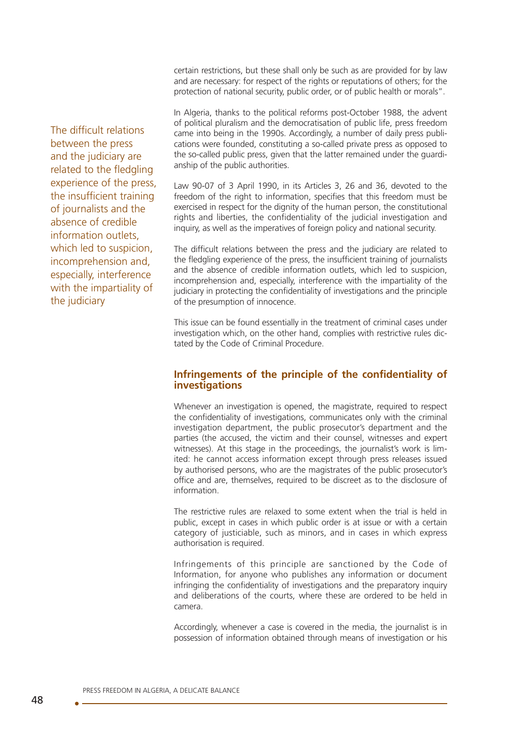certain restrictions, but these shall only be such as are provided for by law and are necessary: for respect of the rights or reputations of others; for the protection of national security, public order, or of public health or morals".

In Algeria, thanks to the political reforms post-October 1988, the advent of political pluralism and the democratisation of public life, press freedom came into being in the 1990s. Accordingly, a number of daily press publications were founded, constituting a so-called private press as opposed to the so-called public press, given that the latter remained under the guardianship of the public authorities.

Law 90-07 of 3 April 1990, in its Articles 3, 26 and 36, devoted to the freedom of the right to information, specifies that this freedom must be exercised in respect for the dignity of the human person, the constitutional rights and liberties, the confidentiality of the judicial investigation and inquiry, as well as the imperatives of foreign policy and national security.

The difficult relations between the press and the judiciary are related to the fledgling experience of the press, the insufficient training of journalists and the absence of credible information outlets, which led to suspicion, incomprehension and, especially, interference with the impartiality of the judiciary in protecting the confidentiality of investigations and the principle of the presumption of innocence.

This issue can be found essentially in the treatment of criminal cases under investigation which, on the other hand, complies with restrictive rules dictated by the Code of Criminal Procedure.

#### **Infringements of the principle of the confidentiality of investigations**

Whenever an investigation is opened, the magistrate, required to respect the confidentiality of investigations, communicates only with the criminal investigation department, the public prosecutor's department and the parties (the accused, the victim and their counsel, witnesses and expert witnesses). At this stage in the proceedings, the journalist's work is limited: he cannot access information except through press releases issued by authorised persons, who are the magistrates of the public prosecutor's office and are, themselves, required to be discreet as to the disclosure of information.

The restrictive rules are relaxed to some extent when the trial is held in public, except in cases in which public order is at issue or with a certain category of justiciable, such as minors, and in cases in which express authorisation is required.

Infringements of this principle are sanctioned by the Code of Information, for anyone who publishes any information or document infringing the confidentiality of investigations and the preparatory inquiry and deliberations of the courts, where these are ordered to be held in camera.

Accordingly, whenever a case is covered in the media, the journalist is in possession of information obtained through means of investigation or his

The difficult relations between the press and the judiciary are related to the fledgling experience of the press, the insufficient training of journalists and the absence of credible information outlets, which led to suspicion, incomprehension and, especially, interference with the impartiality of the judiciary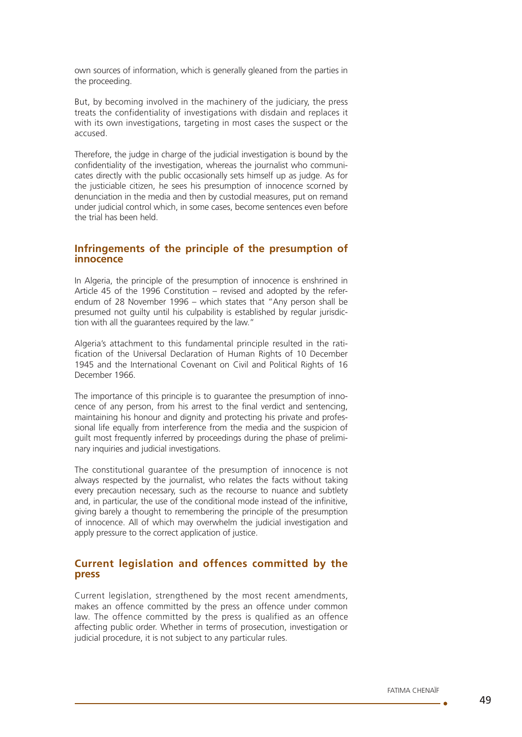own sources of information, which is generally gleaned from the parties in the proceeding.

But, by becoming involved in the machinery of the judiciary, the press treats the confidentiality of investigations with disdain and replaces it with its own investigations, targeting in most cases the suspect or the accused.

Therefore, the judge in charge of the judicial investigation is bound by the confidentiality of the investigation, whereas the journalist who communicates directly with the public occasionally sets himself up as judge. As for the justiciable citizen, he sees his presumption of innocence scorned by denunciation in the media and then by custodial measures, put on remand under judicial control which, in some cases, become sentences even before the trial has been held.

## **Infringements of the principle of the presumption of innocence**

In Algeria, the principle of the presumption of innocence is enshrined in Article 45 of the 1996 Constitution – revised and adopted by the referendum of 28 November 1996 – which states that "Any person shall be presumed not guilty until his culpability is established by regular jurisdiction with all the guarantees required by the law."

Algeria's attachment to this fundamental principle resulted in the ratification of the Universal Declaration of Human Rights of 10 December 1945 and the International Covenant on Civil and Political Rights of 16 December 1966.

The importance of this principle is to guarantee the presumption of innocence of any person, from his arrest to the final verdict and sentencing, maintaining his honour and dignity and protecting his private and professional life equally from interference from the media and the suspicion of guilt most frequently inferred by proceedings during the phase of preliminary inquiries and judicial investigations.

The constitutional guarantee of the presumption of innocence is not always respected by the journalist, who relates the facts without taking every precaution necessary, such as the recourse to nuance and subtlety and, in particular, the use of the conditional mode instead of the infinitive, giving barely a thought to remembering the principle of the presumption of innocence. All of which may overwhelm the judicial investigation and apply pressure to the correct application of justice.

## **Current legislation and offences committed by the press**

Current legislation, strengthened by the most recent amendments, makes an offence committed by the press an offence under common law. The offence committed by the press is qualified as an offence affecting public order. Whether in terms of prosecution, investigation or judicial procedure, it is not subject to any particular rules.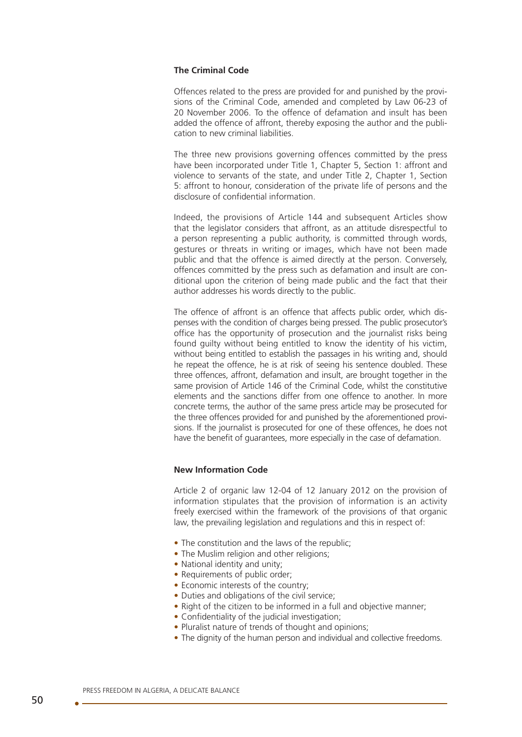#### **The Criminal Code**

Offences related to the press are provided for and punished by the provisions of the Criminal Code, amended and completed by Law 06-23 of 20 November 2006. To the offence of defamation and insult has been added the offence of affront, thereby exposing the author and the publication to new criminal liabilities.

The three new provisions governing offences committed by the press have been incorporated under Title 1, Chapter 5, Section 1: affront and violence to servants of the state, and under Title 2, Chapter 1, Section 5: affront to honour, consideration of the private life of persons and the disclosure of confidential information.

Indeed, the provisions of Article 144 and subsequent Articles show that the legislator considers that affront, as an attitude disrespectful to a person representing a public authority, is committed through words, gestures or threats in writing or images, which have not been made public and that the offence is aimed directly at the person. Conversely, offences committed by the press such as defamation and insult are conditional upon the criterion of being made public and the fact that their author addresses his words directly to the public.

The offence of affront is an offence that affects public order, which dispenses with the condition of charges being pressed. The public prosecutor's office has the opportunity of prosecution and the journalist risks being found guilty without being entitled to know the identity of his victim, without being entitled to establish the passages in his writing and, should he repeat the offence, he is at risk of seeing his sentence doubled. These three offences, affront, defamation and insult, are brought together in the same provision of Article 146 of the Criminal Code, whilst the constitutive elements and the sanctions differ from one offence to another. In more concrete terms, the author of the same press article may be prosecuted for the three offences provided for and punished by the aforementioned provisions. If the journalist is prosecuted for one of these offences, he does not have the benefit of quarantees, more especially in the case of defamation.

#### **New Information Code**

Article 2 of organic law 12-04 of 12 January 2012 on the provision of information stipulates that the provision of information is an activity freely exercised within the framework of the provisions of that organic law, the prevailing legislation and regulations and this in respect of:

- The constitution and the laws of the republic:
- The Muslim religion and other religions:
- National identity and unity:
- Requirements of public order:
- Fronomic interests of the country:
- Duties and obligations of the civil service:
- Right of the citizen to be informed in a full and objective manner;
- Confidentiality of the judicial investigation:
- Pluralist nature of trends of thought and opinions:
- The dignity of the human person and individual and collective freedoms.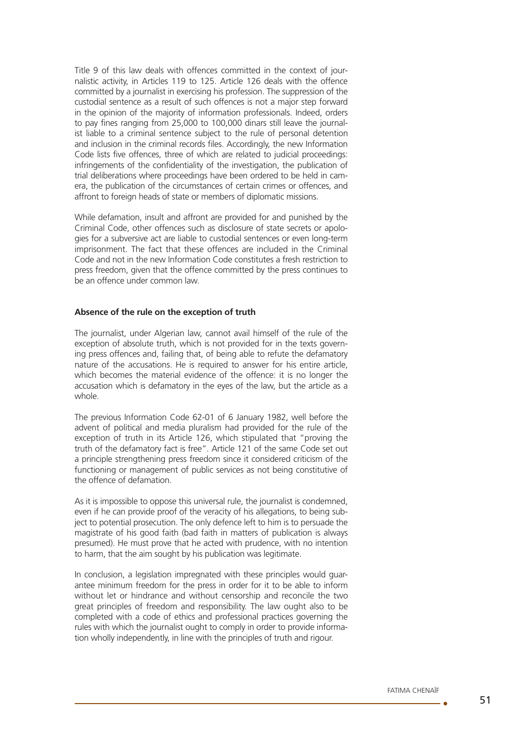Title 9 of this law deals with offences committed in the context of journalistic activity, in Articles 119 to 125. Article 126 deals with the offence committed by a journalist in exercising his profession. The suppression of the custodial sentence as a result of such offences is not a major step forward in the opinion of the majority of information professionals. Indeed, orders to pay fines ranging from 25,000 to 100,000 dinars still leave the journalist liable to a criminal sentence subject to the rule of personal detention and inclusion in the criminal records files. Accordingly, the new Information Code lists five offences, three of which are related to judicial proceedings: infringements of the confidentiality of the investigation, the publication of trial deliberations where proceedings have been ordered to be held in camera, the publication of the circumstances of certain crimes or offences, and affront to foreign heads of state or members of diplomatic missions.

While defamation, insult and affront are provided for and punished by the Criminal Code, other offences such as disclosure of state secrets or apologies for a subversive act are liable to custodial sentences or even long-term imprisonment. The fact that these offences are included in the Criminal Code and not in the new Information Code constitutes a fresh restriction to press freedom, given that the offence committed by the press continues to be an offence under common law.

#### **Absence of the rule on the exception of truth**

The journalist, under Algerian law, cannot avail himself of the rule of the exception of absolute truth, which is not provided for in the texts governing press offences and, failing that, of being able to refute the defamatory nature of the accusations. He is required to answer for his entire article, which becomes the material evidence of the offence: it is no longer the accusation which is defamatory in the eyes of the law, but the article as a whole.

The previous Information Code 62-01 of 6 January 1982, well before the advent of political and media pluralism had provided for the rule of the exception of truth in its Article 126, which stipulated that "proving the truth of the defamatory fact is free". Article 121 of the same Code set out a principle strengthening press freedom since it considered criticism of the functioning or management of public services as not being constitutive of the offence of defamation.

As it is impossible to oppose this universal rule, the journalist is condemned, even if he can provide proof of the veracity of his allegations, to being subject to potential prosecution. The only defence left to him is to persuade the magistrate of his good faith (bad faith in matters of publication is always presumed). He must prove that he acted with prudence, with no intention to harm, that the aim sought by his publication was legitimate.

In conclusion, a legislation impregnated with these principles would guarantee minimum freedom for the press in order for it to be able to inform without let or hindrance and without censorship and reconcile the two great principles of freedom and responsibility. The law ought also to be completed with a code of ethics and professional practices governing the rules with which the journalist ought to comply in order to provide information wholly independently, in line with the principles of truth and rigour.